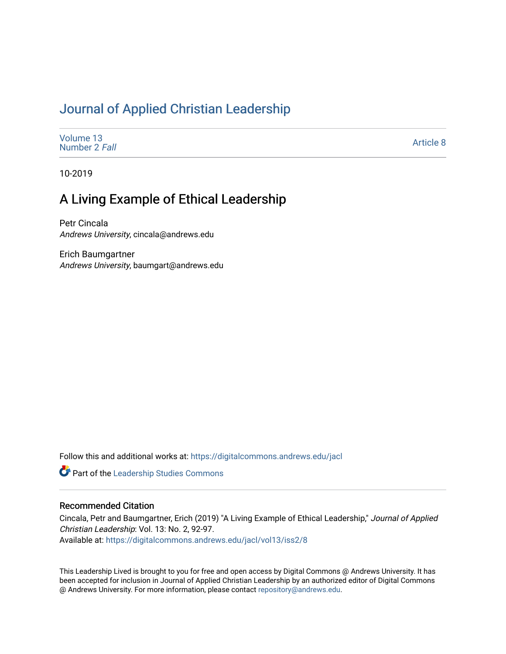## [Journal of Applied Christian Leadership](https://digitalcommons.andrews.edu/jacl)

| Volume 13     |  |  |
|---------------|--|--|
| Number 2 Fall |  |  |
|               |  |  |

[Article 8](https://digitalcommons.andrews.edu/jacl/vol13/iss2/8) 

10-2019

## A Living Example of Ethical Leadership

Petr Cincala Andrews University, cincala@andrews.edu

Erich Baumgartner Andrews University, baumgart@andrews.edu

Follow this and additional works at: [https://digitalcommons.andrews.edu/jacl](https://digitalcommons.andrews.edu/jacl?utm_source=digitalcommons.andrews.edu%2Fjacl%2Fvol13%2Fiss2%2F8&utm_medium=PDF&utm_campaign=PDFCoverPages) 

**Part of the Leadership Studies Commons** 

#### Recommended Citation

Cincala, Petr and Baumgartner, Erich (2019) "A Living Example of Ethical Leadership," Journal of Applied Christian Leadership: Vol. 13: No. 2, 92-97. Available at: [https://digitalcommons.andrews.edu/jacl/vol13/iss2/8](https://digitalcommons.andrews.edu/jacl/vol13/iss2/8?utm_source=digitalcommons.andrews.edu%2Fjacl%2Fvol13%2Fiss2%2F8&utm_medium=PDF&utm_campaign=PDFCoverPages)

This Leadership Lived is brought to you for free and open access by Digital Commons @ Andrews University. It has been accepted for inclusion in Journal of Applied Christian Leadership by an authorized editor of Digital Commons @ Andrews University. For more information, please contact [repository@andrews.edu](mailto:repository@andrews.edu).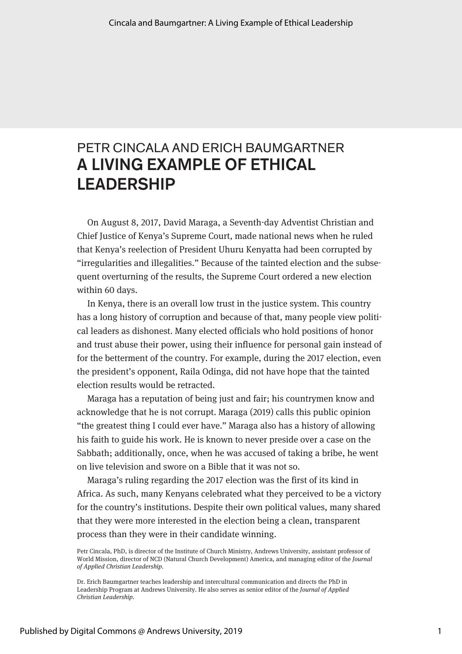# PETR CINCALA AND ERICH BAUMGARTNER A LIVING EXAMPLE OF ETHICAL LEADERSHIP

On August 8, 2017, David Maraga, a Seventh-day Adventist Christian and Chief Justice of Kenya's Supreme Court, made national news when he ruled that Kenya's reelection of President Uhuru Kenyatta had been corrupted by "irregularities and illegalities." Because of the tainted election and the subsequent overturning of the results, the Supreme Court ordered a new election within 60 days.

In Kenya, there is an overall low trust in the justice system. This country has a long history of corruption and because of that, many people view political leaders as dishonest. Many elected officials who hold positions of honor and trust abuse their power, using their influence for personal gain instead of for the betterment of the country. For example, during the 2017 election, even the president's opponent, Raila Odinga, did not have hope that the tainted election results would be retracted.

Maraga has a reputation of being just and fair; his countrymen know and acknowledge that he is not corrupt. Maraga (2019) calls this public opinion "the greatest thing I could ever have." Maraga also has a history of allowing his faith to guide his work. He is known to never preside over a case on the Sabbath; additionally, once, when he was accused of taking a bribe, he went on live television and swore on a Bible that it was not so.

Maraga's ruling regarding the 2017 election was the first of its kind in Africa. As such, many Kenyans celebrated what they perceived to be a victory for the country's institutions. Despite their own political values, many shared that they were more interested in the election being a clean, transparent process than they were in their candidate winning.

Petr Cincala, PhD, is director of the Institute of Church Ministry, Andrews University, assistant professor of World Mission, director of NCD (Natural Church Development) America, and managing editor of the *Journal of Applied Christian Leadership.*

Dr. Erich Baumgartner teaches leadership and intercultural communication and directs the PhD in Leadership Program at Andrews University. He also serves as senior editor of the *Journal of Applied Christian Leadership.*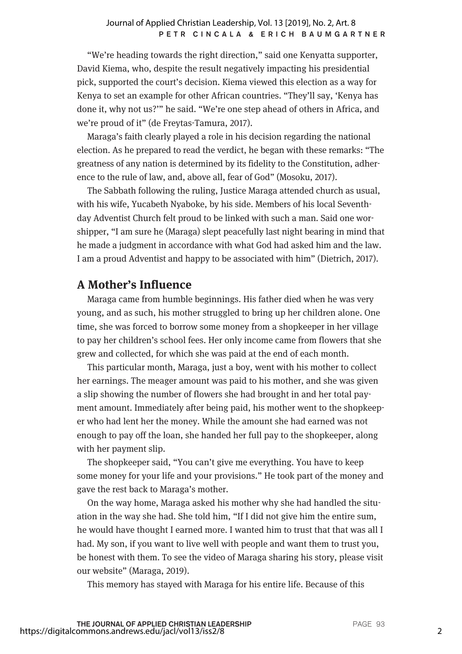"We're heading towards the right direction," said one Kenyatta supporter, David Kiema, who, despite the result negatively impacting his presidential pick, supported the court's decision. Kiema viewed this election as a way for Kenya to set an example for other African countries. "They'll say, 'Kenya has done it, why not us?'" he said. "We're one step ahead of others in Africa, and we're proud of it" (de Freytas-Tamura, 2017).

Maraga's faith clearly played a role in his decision regarding the national election. As he prepared to read the verdict, he began with these remarks: "The greatness of any nation is determined by its fidelity to the Constitution, adherence to the rule of law, and, above all, fear of God" (Mosoku, 2017).

The Sabbath following the ruling, Justice Maraga attended church as usual, with his wife, Yucabeth Nyaboke, by his side. Members of his local Seventhday Adventist Church felt proud to be linked with such a man. Said one worshipper, "I am sure he (Maraga) slept peacefully last night bearing in mind that he made a judgment in accordance with what God had asked him and the law. I am a proud Adventist and happy to be associated with him" (Dietrich, 2017).

## **A Mother's Influence**

Maraga came from humble beginnings. His father died when he was very young, and as such, his mother struggled to bring up her children alone. One time, she was forced to borrow some money from a shopkeeper in her village to pay her children's school fees. Her only income came from flowers that she grew and collected, for which she was paid at the end of each month.

This particular month, Maraga, just a boy, went with his mother to collect her earnings. The meager amount was paid to his mother, and she was given a slip showing the number of flowers she had brought in and her total payment amount. Immediately after being paid, his mother went to the shopkeeper who had lent her the money. While the amount she had earned was not enough to pay off the loan, she handed her full pay to the shopkeeper, along with her payment slip.

The shopkeeper said, "You can't give me everything. You have to keep some money for your life and your provisions." He took part of the money and gave the rest back to Maraga's mother.

On the way home, Maraga asked his mother why she had handled the situation in the way she had. She told him, "If I did not give him the entire sum, he would have thought I earned more. I wanted him to trust that that was all I had. My son, if you want to live well with people and want them to trust you, be honest with them. To see the video of Maraga sharing his story, please visit our website" (Maraga, 2019).

This memory has stayed with Maraga for his entire life. Because of this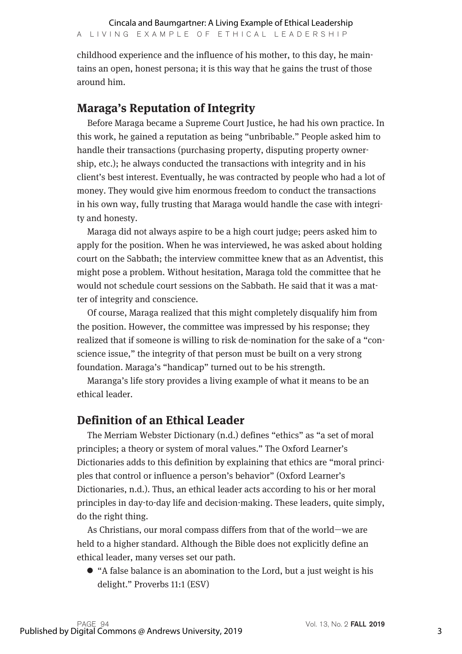childhood experience and the influence of his mother, to this day, he maintains an open, honest persona; it is this way that he gains the trust of those around him.

## **Maraga's Reputation of Integrity**

Before Maraga became a Supreme Court Justice, he had his own practice. In this work, he gained a reputation as being "unbribable." People asked him to handle their transactions (purchasing property, disputing property ownership, etc.); he always conducted the transactions with integrity and in his client's best interest. Eventually, he was contracted by people who had a lot of money. They would give him enormous freedom to conduct the transactions in his own way, fully trusting that Maraga would handle the case with integrity and honesty.

Maraga did not always aspire to be a high court judge; peers asked him to apply for the position. When he was interviewed, he was asked about holding court on the Sabbath; the interview committee knew that as an Adventist, this might pose a problem. Without hesitation, Maraga told the committee that he would not schedule court sessions on the Sabbath. He said that it was a matter of integrity and conscience.

Of course, Maraga realized that this might completely disqualify him from the position. However, the committee was impressed by his response; they realized that if someone is willing to risk de-nomination for the sake of a "conscience issue," the integrity of that person must be built on a very strong foundation. Maraga's "handicap" turned out to be his strength.

Maranga's life story provides a living example of what it means to be an ethical leader.

## **Definition of an Ethical Leader**

The Merriam Webster Dictionary (n.d.) defines "ethics" as "a set of moral principles; a theory or system of moral values." The Oxford Learner's Dictionaries adds to this definition by explaining that ethics are "moral principles that control or influence a person's behavior" (Oxford Learner's Dictionaries, n.d.). Thus, an ethical leader acts according to his or her moral principles in day-to-day life and decision-making. These leaders, quite simply, do the right thing.

As Christians, our moral compass differs from that of the world—we are held to a higher standard. Although the Bible does not explicitly define an ethical leader, many verses set our path.

• "A false balance is an abomination to the Lord, but a just weight is his delight." Proverbs 11:1 (ESV)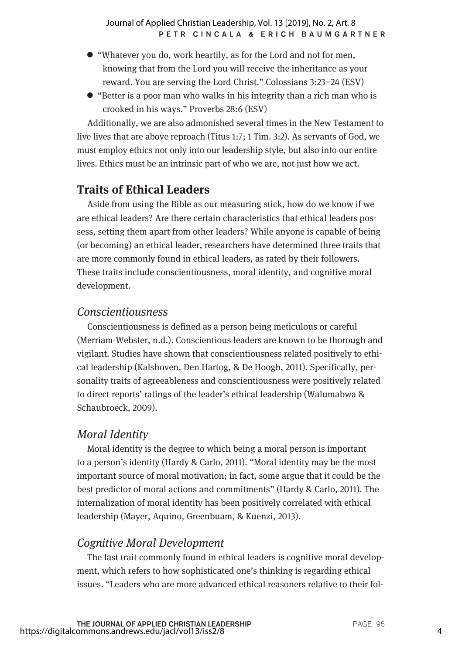- l "Whatever you do, work heartily, as for the Lord and not for men, knowing that from the Lord you will receive the inheritance as your reward. You are serving the Lord Christ." Colossians 3:23–24 (ESV)
- l "Better is a poor man who walks in his integrity than a rich man who is crooked in his ways." Proverbs 28:6 (ESV)

Additionally, we are also admonished several times in the New Testament to live lives that are above reproach (Titus 1:7; 1 Tim. 3:2). As servants of God, we must employ ethics not only into our leadership style, but also into our entire lives. Ethics must be an intrinsic part of who we are, not just how we act.

## **Traits of Ethical Leaders**

Aside from using the Bible as our measuring stick, how do we know if we are ethical leaders? Are there certain characteristics that ethical leaders possess, setting them apart from other leaders? While anyone is capable of being (or becoming) an ethical leader, researchers have determined three traits that are more commonly found in ethical leaders, as rated by their followers. These traits include conscientiousness, moral identity, and cognitive moral development.

#### *Conscientiousness*

Conscientiousness is defined as a person being meticulous or careful (Merriam-Webster, n.d.). Conscientious leaders are known to be thorough and vigilant. Studies have shown that conscientiousness related positively to ethical leadership (Kalshoven, Den Hartog, & De Hoogh, 2011). Specifically, personality traits of agreeableness and conscientiousness were positively related to direct reports' ratings of the leader's ethical leadership (Walumabwa & Schaubroeck, 2009).

#### *Moral Identity*

Moral identity is the degree to which being a moral person is important to a person's identity (Hardy & Carlo, 2011). "Moral identity may be the most important source of moral motivation; in fact, some argue that it could be the best predictor of moral actions and commitments" (Hardy & Carlo, 2011). The internalization of moral identity has been positively correlated with ethical leadership (Mayer, Aquino, Greenbuam, & Kuenzi, 2013).

#### *Cognitive Moral Development*

The last trait commonly found in ethical leaders is cognitive moral development, which refers to how sophisticated one's thinking is regarding ethical issues. "Leaders who are more advanced ethical reasoners relative to their fol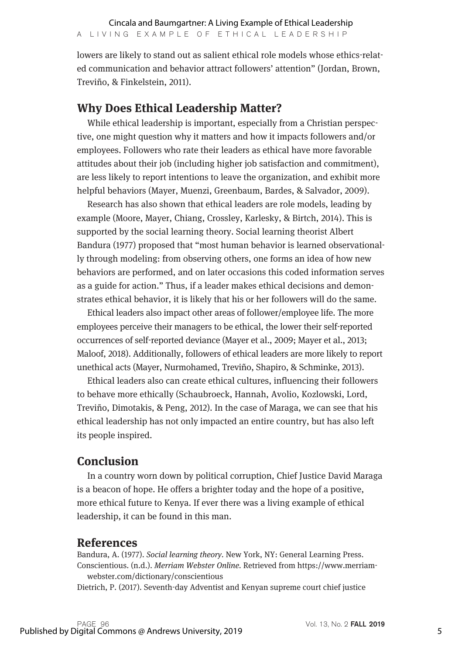lowers are likely to stand out as salient ethical role models whose ethics-related communication and behavior attract followers' attention" (Jordan, Brown, Treviño, & Finkelstein, 2011).

## **Why Does Ethical Leadership Matter?**

While ethical leadership is important, especially from a Christian perspective, one might question why it matters and how it impacts followers and/or employees. Followers who rate their leaders as ethical have more favorable attitudes about their job (including higher job satisfaction and commitment), are less likely to report intentions to leave the organization, and exhibit more helpful behaviors (Mayer, Muenzi, Greenbaum, Bardes, & Salvador, 2009).

Research has also shown that ethical leaders are role models, leading by example (Moore, Mayer, Chiang, Crossley, Karlesky, & Birtch, 2014). This is supported by the social learning theory. Social learning theorist Albert Bandura (1977) proposed that "most human behavior is learned observationally through modeling: from observing others, one forms an idea of how new behaviors are performed, and on later occasions this coded information serves as a guide for action." Thus, if a leader makes ethical decisions and demonstrates ethical behavior, it is likely that his or her followers will do the same.

Ethical leaders also impact other areas of follower/employee life. The more employees perceive their managers to be ethical, the lower their self-reported occurrences of self-reported deviance (Mayer et al., 2009; Mayer et al., 2013; Maloof, 2018). Additionally, followers of ethical leaders are more likely to report unethical acts (Mayer, Nurmohamed, Treviño, Shapiro, & Schminke, 2013).

Ethical leaders also can create ethical cultures, influencing their followers to behave more ethically (Schaubroeck, Hannah, Avolio, Kozlowski, Lord, Treviño, Dimotakis, & Peng, 2012). In the case of Maraga, we can see that his ethical leadership has not only impacted an entire country, but has also left its people inspired.

## **Conclusion**

In a country worn down by political corruption, Chief Justice David Maraga is a beacon of hope. He offers a brighter today and the hope of a positive, more ethical future to Kenya. If ever there was a living example of ethical leadership, it can be found in this man.

#### **References**

Bandura, A. (1977). *Social learning theory.* New York, NY: General Learning Press. Conscientious. (n.d.). *Merriam Webster Online.* Retrieved from https://www.merriamwebster.com/dictionary/conscientious

Dietrich, P. (2017). Seventh-day Adventist and Kenyan supreme court chief justice